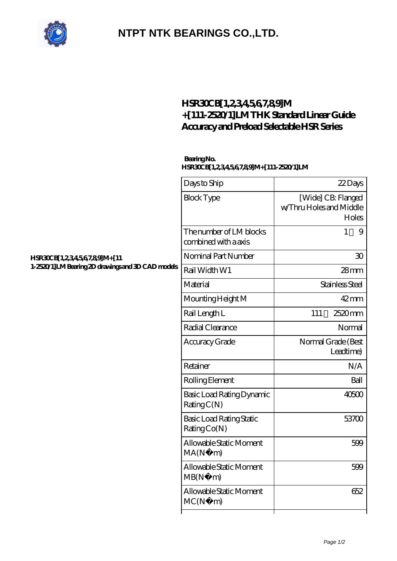

## **[NTPT NTK BEARINGS CO.,LTD.](https://carte-revue.com)**

## **[HSR30CB\[1,2,3,4,5,6,7,8,9\]M](https://carte-revue.com/high-temperature-linear-guide/hsr30cb-1-2-3-4-5-6-7-8-9-m-111-2520-1-lm.html) [+\[111-2520/1\]LM THK Standard Linear Guide](https://carte-revue.com/high-temperature-linear-guide/hsr30cb-1-2-3-4-5-6-7-8-9-m-111-2520-1-lm.html) [Accuracy and Preload Selectable HSR Series](https://carte-revue.com/high-temperature-linear-guide/hsr30cb-1-2-3-4-5-6-7-8-9-m-111-2520-1-lm.html)**

## **Bearing No. HSR30CB[1,2,3,4,5,6,7,8,9]M+[111-2520/1]LM**

| HSR30CB[1,234567,89]M+[11<br>1-2520/1]LM Bearing 2D drawings and 3D CAD models | Days to Ship                                    | 22Days                                                 |
|--------------------------------------------------------------------------------|-------------------------------------------------|--------------------------------------------------------|
|                                                                                | <b>Block Type</b>                               | [Wide] CB: Flanged<br>w/Thru Holes and Middle<br>Holes |
|                                                                                | The number of LM blocks<br>combined with a axis | $\mathbf{1}$<br>9                                      |
|                                                                                | Nominal Part Number                             | 30                                                     |
|                                                                                | Rail Width W1                                   | 28mm                                                   |
|                                                                                | Material                                        | Stainless Steel                                        |
|                                                                                | Mounting Height M                               | $42$ mm                                                |
|                                                                                | Rail Length L                                   | 2520mm<br>111                                          |
|                                                                                | Radial Clearance                                | Normal                                                 |
|                                                                                | Accuracy Grade                                  | Normal Grade (Best<br>Leadtime)                        |
|                                                                                | Retainer                                        | N/A                                                    |
|                                                                                | Rolling Element                                 | Ball                                                   |
|                                                                                | Basic Load Rating Dynamic<br>RatingC(N)         | 40500                                                  |
|                                                                                | Basic Load Rating Static<br>Rating Co(N)        | 53700                                                  |
|                                                                                | Allowable Static Moment<br>MA(N)<br>m)          | 599                                                    |
|                                                                                | Allowable Static Moment<br>MB(N)<br>m)          | 599                                                    |
|                                                                                | Allowable Static Moment<br>MC(N)<br>m)          | 652                                                    |
|                                                                                |                                                 |                                                        |